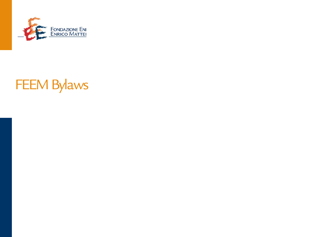

# FEEM Bylaws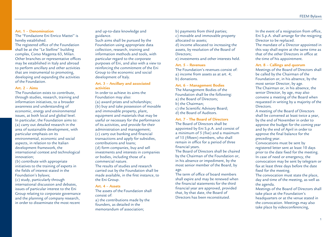### **Art. 1 – Denomination**

The "Fondazione Eni Enrico Mattei" is hereby established.

The registered office of the Foundation shall be at the "Le Stelline" building complex, Corso Magenta 63, Milan. Other branches or representative offices may be established in Italy and abroad to perform ancillary and other activities that are instrumental to promoting, developing and expanding the activities of the Foundation.

### **Art. 2 – Aims**

The Foundation exists to contribute, through studies, research, training and information initiatives, to a broader awareness and understanding of economic, energy and environmental issues, at both local and global level. In particular, the Foundation aims to: (a) carry out detailed research in the area of sustainable development, with particular emphasis on its environmental, economic and social aspects, in relation to the Italian development framework, the international context and technological innovation;

(b) contribute with appropriate initiatives to the training of experts in the fields of interest stated in the Foundation's bylaws;

(c) study, particularly through international discussion and debates, issues of particular interest to the Eni Group relating to corporate governance and the planning of company research, in order to disseminate the most recent

# and up-to-date knowledge and guidance.

Such aims shall be pursued by the Foundation using appropriate data collection, research, training and information methods and tools, with particular regard to the corporate purposes of Eni, and also with a view to reinforcing the commitment of the Eni Group to the economic and social development of Italy.

# **Art. 3 – Ancillary and associated activities**

In order to achieve its aims the Foundation may also:

(a) award prizes and scholarships; (b) buy and take possession of movable and immovable property, plant, equipment and materials that may be useful or necessary for the performance of its activities, and provide for their administration and management; (c) carry out banking and financial transactions and apply for subsidies, contributions and loans; (d) form companies, buy and sell investments and interests in companies or bodies, including those of a commercial nature. The results of studies and research

carried out by the Foundation shall be made available, in the first instance, to the Eni Group.

#### **Art. 4 – Assets**

The assets of the Foundation shall consist of: a) the contributions made by the

founders, as detailed in the memorandum of association; b) payments from third parties; c) movable and immovable property allocated to assets; d) income allocated to increasing the

assets, by resolution of the Board of Directors:

e) investments and other interests held.

# **Art. 5 – Revenues**

The Foundation's revenues consist of: a) income from assets as at art. 4; b) donations.

#### **Art. 6 – Management Bodies**

The Management Bodies of the Foundation shall be the following: a) the Board of Directors;

- b) the Chairman;
- c) the Scientific Advisory Board; d) the Board of Auditors.

# **Art. 7 - The Board of Directors**

The Board of Directors shall be appointed by Eni S.p.A. and consist of a minimum of 5 (five) and a maximum of 15 (fifteen) members, who shall remain in office for a period of three financial years.

The Board of Directors shall be chaired by the Chairman of the Foundation or, in his absence or impediment, by the most senior member of the Board, by age.

The term of office of board members shall expire and may be renewed when the financial statements for the third financial year are approved, provided that, by that date, the Board of Directors has been reconstituted.

In the event of a resignation from office, Eni S.p.A. shall arrange for the resigning Director to be replaced.

The mandate of a Director appointed in this way shall expire at the same time as that of the other Directors in office at the time of his appointment.

# **Art. 8 – Callings and quorum**

Meetings of the Board of Directors shall be called by the Chairman of the Foundation or, in his absence, by the most senior Director, by age. The Chairman or, in his absence, the senior Director, by age, may also convene a meeting of the Board when requested in writing by a majority of the Directors.

A meeting of the Board of Directors shall be convened at least twice a year, by the end of November in order to approve the budget for the coming year and by the end of April in order to approve the final balance for the preceding year.

Convocations must be sent by registered letter sent at least 10 days prior to the date fixed for the meeting. In case of need or emergency, the convocation may be sent by telegram or fax at least three days before the date fixed for the meeting.

The convocation must state the place, day and time of the meeting, as well as the agenda.

Meetings of the Board of Directors shall take place at the Foundation's headquarters or at the venue stated in the convocation. Meetings may also take place by videoconferencing,